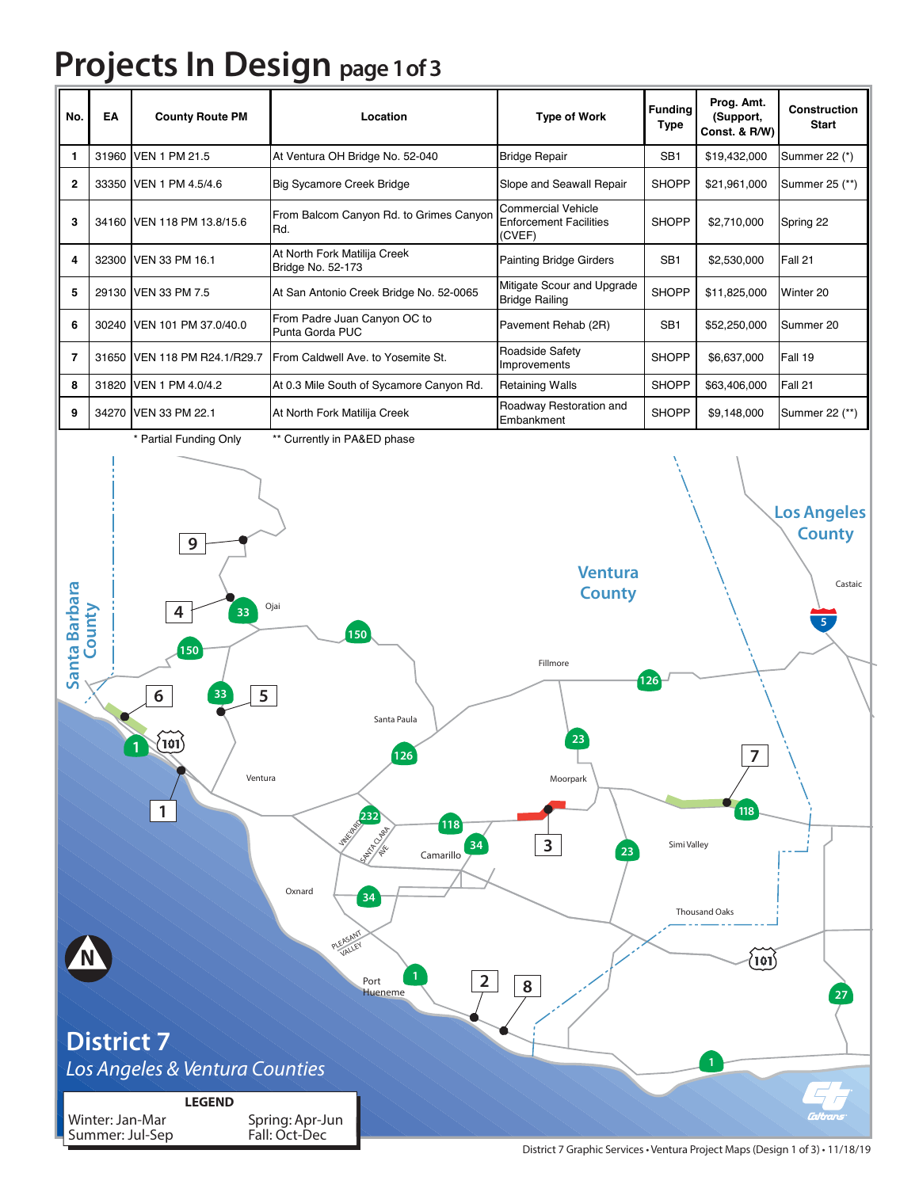## **Projects In Design page 1 of 3**

| No.           | ΕA                                                                                                                                                                                                                                                                              | <b>County Route PM</b>                                                                                  | Location                                                                                                                                                         | <b>Type of Work</b>                                           | <b>Funding</b><br><b>Type</b> | Prog. Amt.<br>(Support,<br>Const. & R/W)               | Construction<br>Start |  |
|---------------|---------------------------------------------------------------------------------------------------------------------------------------------------------------------------------------------------------------------------------------------------------------------------------|---------------------------------------------------------------------------------------------------------|------------------------------------------------------------------------------------------------------------------------------------------------------------------|---------------------------------------------------------------|-------------------------------|--------------------------------------------------------|-----------------------|--|
| 1             |                                                                                                                                                                                                                                                                                 | 31960 VEN 1 PM 21.5                                                                                     | At Ventura OH Bridge No. 52-040                                                                                                                                  | <b>Bridge Repair</b>                                          | SB <sub>1</sub>               | \$19,432,000                                           | Summer 22 (*)         |  |
| $\mathbf{2}$  |                                                                                                                                                                                                                                                                                 | 33350 VEN 1 PM 4.5/4.6                                                                                  | Big Sycamore Creek Bridge                                                                                                                                        | Slope and Seawall Repair                                      | <b>SHOPP</b>                  | \$21,961,000                                           | Summer 25 (**)        |  |
| 3             |                                                                                                                                                                                                                                                                                 | 34160 VEN 118 PM 13.8/15.6                                                                              | From Balcom Canyon Rd. to Grimes Canyon<br>Rd.                                                                                                                   | Commercial Vehicle<br><b>Enforcement Facilities</b><br>(CVEF) | <b>SHOPP</b>                  | \$2,710,000                                            | Spring 22             |  |
| 4             |                                                                                                                                                                                                                                                                                 | 32300 VEN 33 PM 16.1                                                                                    | At North Fork Matilija Creek<br>Bridge No. 52-173                                                                                                                | <b>Painting Bridge Girders</b>                                | SB <sub>1</sub>               | \$2,530,000                                            | Fall 21               |  |
| 5             |                                                                                                                                                                                                                                                                                 | 29130 VEN 33 PM 7.5                                                                                     | At San Antonio Creek Bridge No. 52-0065                                                                                                                          | Mitigate Scour and Upgrade<br><b>Bridge Railing</b>           | <b>SHOPP</b>                  | \$11,825,000                                           | Winter 20             |  |
| 6             |                                                                                                                                                                                                                                                                                 | 30240 VEN 101 PM 37.0/40.0                                                                              | From Padre Juan Canyon OC to<br>Punta Gorda PUC                                                                                                                  | Pavement Rehab (2R)                                           | SB <sub>1</sub>               | \$52,250,000                                           | Summer 20             |  |
| 7             |                                                                                                                                                                                                                                                                                 | 31650 VEN 118 PM R24.1/R29.7                                                                            | From Caldwell Ave. to Yosemite St.                                                                                                                               | Roadside Safety<br>Improvements                               | <b>SHOPP</b>                  | \$6,637,000                                            | Fall 19               |  |
| 8             |                                                                                                                                                                                                                                                                                 | 31820 VEN 1 PM 4.0/4.2                                                                                  | At 0.3 Mile South of Sycamore Canyon Rd.                                                                                                                         | <b>Retaining Walls</b>                                        | <b>SHOPP</b>                  | \$63,406,000                                           | Fall 21               |  |
| 9             |                                                                                                                                                                                                                                                                                 | 34270 VEN 33 PM 22.1                                                                                    | At North Fork Matilija Creek                                                                                                                                     | Roadway Restoration and<br>Embankment                         | <b>SHOPP</b>                  | \$9,148,000                                            | Summer 22 (**)        |  |
| Santa Barbara | <b>Los Angeles</b><br><b>County</b><br>$\mathbf{9}$<br><b>Ventura</b><br>Castaic<br><b>County</b><br>Ojai<br>County<br>4<br>33<br>150<br>150<br>Fillmore<br>126<br>5<br>33<br>6<br>Santa Paula<br>23<br>$\rangle$ 101 $\rangle$<br>$\overline{7}$<br>126<br>Ventura<br>Moorpark |                                                                                                         |                                                                                                                                                                  |                                                               |                               |                                                        |                       |  |
|               | Winter: Jan-Mar                                                                                                                                                                                                                                                                 | $\mathbf{1}$<br><b>District 7</b><br>Los Angeles & Ventura Counties<br><b>LEGEND</b><br>Summer: Jul-Sep | <b>232</b><br>118<br><b>SATION CLARE</b><br>34<br>Camarillo<br>Oxnard<br>34<br>PLEASANT<br>$\overline{2}$<br>Port<br>Hueneme<br>Spring: Apr-Jun<br>Fall: Oct-Dec | $\overline{\mathbf{3}}$<br>23<br>8                            | Simi Valley                   | 118<br><b>Thousand Oaks</b><br>$\langle$ 101 $\rangle$ | 27                    |  |

District 7 Graphic Services • Ventura Project Maps (Design 1 of 3) • 11/18/19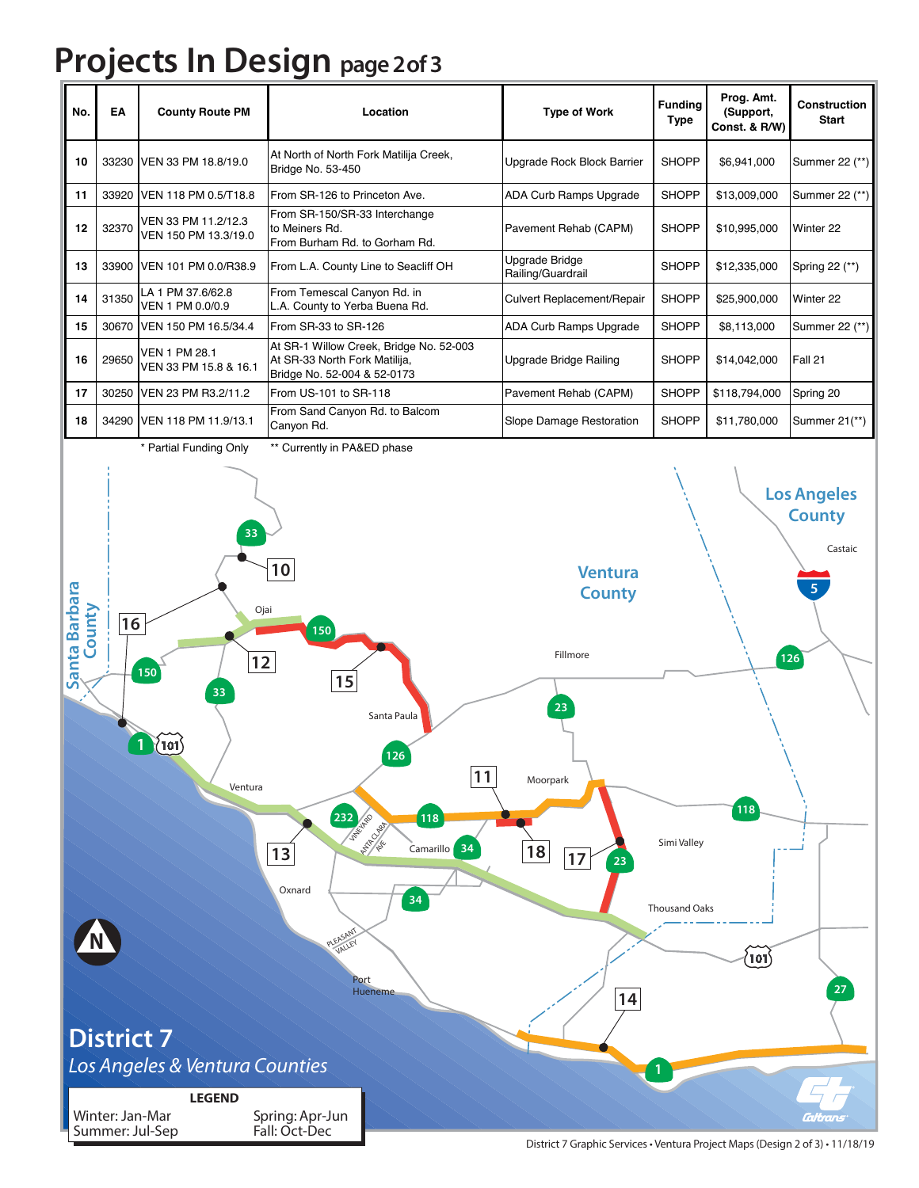## **Projects In Design page 2of 3**

| No. | EA    | <b>County Route PM</b>                        | Location                                                                                                | <b>Type of Work</b>                 | <b>Funding</b><br>Type | Prog. Amt.<br>(Support,<br>Const. & R/W) | <b>Construction</b><br><b>Start</b> |
|-----|-------|-----------------------------------------------|---------------------------------------------------------------------------------------------------------|-------------------------------------|------------------------|------------------------------------------|-------------------------------------|
| 10  |       | 33230 VEN 33 PM 18.8/19.0                     | At North of North Fork Matilija Creek,<br>Bridge No. 53-450                                             | Upgrade Rock Block Barrier          | <b>SHOPP</b>           | \$6,941,000                              | Summer 22 (**)                      |
| 11  |       | 33920 VEN 118 PM 0.5/T18.8                    | From SR-126 to Princeton Ave.                                                                           | ADA Curb Ramps Upgrade              | <b>SHOPP</b>           | \$13,009,000                             | Summer 22 (**)                      |
| 12  | 32370 | VEN 33 PM 11.2/12.3<br>VEN 150 PM 13.3/19.0   | From SR-150/SR-33 Interchange<br>to Meiners Rd.<br>From Burham Rd. to Gorham Rd.                        | Pavement Rehab (CAPM)               | <b>SHOPP</b>           | \$10,995,000                             | Winter 22                           |
| 13  |       | 33900 VEN 101 PM 0.0/R38.9                    | From L.A. County Line to Seacliff OH                                                                    | Upgrade Bridge<br>Railing/Guardrail | <b>SHOPP</b>           | \$12,335,000                             | Spring 22 (**)                      |
| 14  | 31350 | LA 1 PM 37.6/62.8<br>VEN 1 PM 0.0/0.9         | From Temescal Canyon Rd. in<br>L.A. County to Yerba Buena Rd.                                           | Culvert Replacement/Repair          | <b>SHOPP</b>           | \$25,900,000                             | Winter 22                           |
| 15  |       | 30670 VEN 150 PM 16.5/34.4                    | From SR-33 to SR-126                                                                                    | ADA Curb Ramps Upgrade              | <b>SHOPP</b>           | \$8,113,000                              | Summer 22 (**)                      |
| 16  | 29650 | <b>VEN 1 PM 28.1</b><br>VEN 33 PM 15.8 & 16.1 | At SR-1 Willow Creek, Bridge No. 52-003<br>At SR-33 North Fork Matilija,<br>Bridge No. 52-004 & 52-0173 | Upgrade Bridge Railing              | <b>SHOPP</b>           | \$14,042,000                             | Fall 21                             |
| 17  |       | 30250 VEN 23 PM R3.2/11.2                     | From US-101 to SR-118                                                                                   | Pavement Rehab (CAPM)               | <b>SHOPP</b>           | \$118,794,000                            | Spring 20                           |
| 18  |       | 34290 VEN 118 PM 11.9/13.1                    | From Sand Canyon Rd. to Balcom<br>Canyon Rd.                                                            | Slope Damage Restoration            | <b>SHOPP</b>           | \$11,780,000                             | Summer 21(**)                       |
|     |       | $*$ Death Europe Column                       | $**$ $C$ : $$ $A$ $B$ $A$ $B$ $F$ $D$ $A$ $B$ $B$ $B$ $B$ $C$ $A$                                       |                                     |                        |                                          |                                     |



District 7 Graphic Services • Ventura Project Maps (Design 2 of 3) • 11/18/19